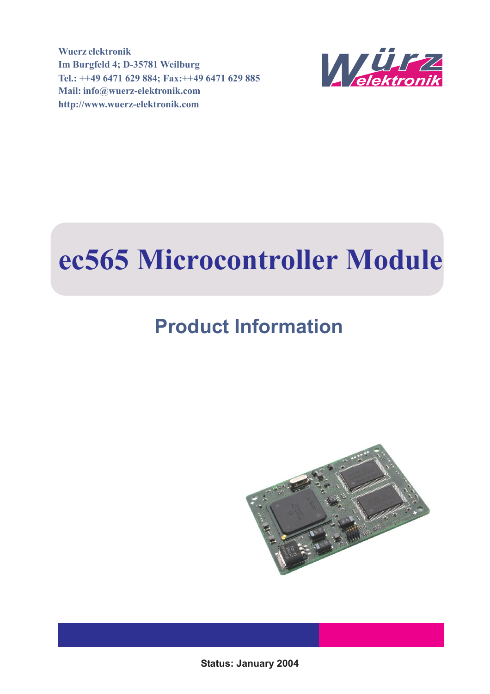**Wuerz elektronik Im Burgfeld 4; D-35781 Weilburg Tel.: ++49 6471 629 884; Fax:++49 6471 629 885 Mail: info@wuerz-elektronik.com http://www.wuerz-elektronik.com**



# **ec565 Microcontroller Module**

# **Product Information**



**Status: January 2004**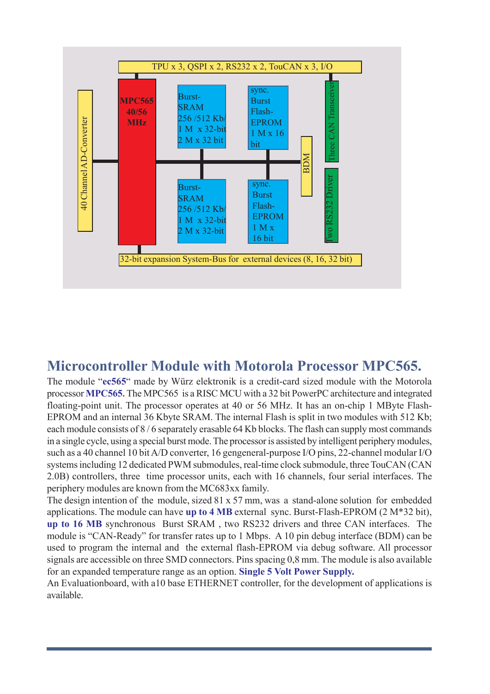

#### **Microcontroller Module with Motorola Processor MPC565.**

The module "**ec565**" made by Würz elektronik is a credit-card sized module with the Motorola processor **MPC565.** The MPC565 is a RISC MCU with a 32 bit PowerPC architecture and integrated floating-point unit. The processor operates at 40 or 56 MHz. It has an on-chip 1 MByte Flash-EPROM and an internal 36 Kbyte SRAM. The internal Flash is split in two modules with 512 Kb; each module consists of 8 / 6 separately erasable 64 Kb blocks. The flash can supply most commands in a single cycle, using a special burst mode. The processor is assisted by intelligent periphery modules, such as a 40 channel 10 bit A/D converter, 16 gengeneral-purpose I/O pins, 22-channel modular I/O systems including 12 dedicated PWM submodules, real-time clock submodule, three TouCAN (CAN 2.0B) controllers, three time processor units, each with 16 channels, four serial interfaces. The periphery modules are known from the MC683xx family.

The design intention of the module, sized 81 x 57 mm, was a stand-alone solution for embedded applications. The module can have **up to 4 MB** external sync. Burst-Flash-EPROM (2 M\*32 bit), **up to 16 MB** synchronous Burst SRAM , two RS232 drivers and three CAN interfaces. The module is "CAN-Ready" for transfer rates up to 1 Mbps. A 10 pin debug interface (BDM) can be used to program the internal and the external flash-EPROM via debug software. All processor signals are accessible on three SMD connectors. Pins spacing 0,8 mm. The module is also available for an expanded temperature range as an option. **Single 5 Volt Power Supply.**

An Evaluationboard, with a10 base ETHERNET controller, for the development of applications is available.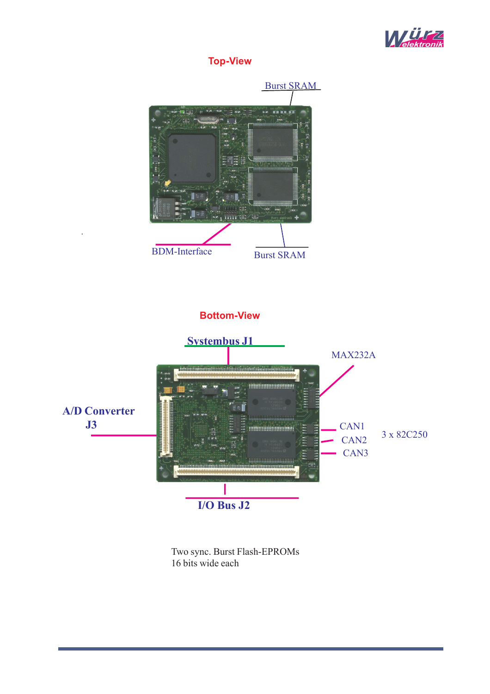

**Top-View**



Two sync. Burst Flash-EPROMs 16 bits wide each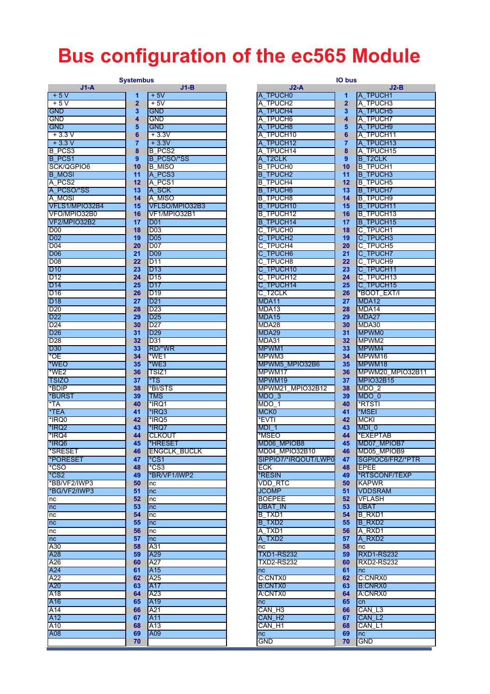# **Bus configuration of the ec565 Module**

#### **Systembus**

| $J1-A$          |                | $J1-B$              | $J2-A$               |                 | $J2-B$             |
|-----------------|----------------|---------------------|----------------------|-----------------|--------------------|
| $+5V$           | 1              | $+5V$               | A_TPUCH0             | 1               | A_TPUCH1           |
| $+5V$           | $\overline{2}$ | + 5V                | A TPUCH2             | $\overline{2}$  | A TPUCH3           |
| <b>GND</b>      | 3              | <b>GND</b>          | A TPUCH4             | 3               | A_TPUCH5           |
| <b>GND</b>      | 4              | GND                 | A TPUCH6             | 4               | A TPUCH7           |
| <b>GND</b>      | 5              | GND                 | A_TPUCH8             | 5               | A_TPUCH9           |
| $+3.3V$         | 6              | $+3.3V$             | A_TPUCH10            | 6               | A_TPUCH11          |
| $+3.3V$         | 7              | $+3.3V$             | A TPUCH12            | 7               | A TPUCH13          |
| B PCS3          | 8              | <b>B</b> PCS2       | A TPUCH14            | 8               | A_TPUCH15          |
| B_PCS1          | 9              | <b>B PCSO/*SS</b>   | A T2CLK              | 9               | <b>B_T2CLK</b>     |
| SCK/QGPIO6      | 10             | <b>B MISO</b>       | <b>B TPUCHO</b>      | 10              | <b>B_TPUCH1</b>    |
| <b>B MOSI</b>   | 11             | A_PCS3              | <b>B TPUCH2</b>      | 11              | <b>B TPUCH3</b>    |
| A PCS2          | 12             | A_PCS1              | <b>B TPUCH4</b>      | 12 <sub>2</sub> | <b>B TPUCH5</b>    |
|                 |                |                     |                      |                 |                    |
| A_PCSO/*SS      | 13             | A_SCK               | <b>B TPUCH6</b>      | 13              | <b>B TPUCH7</b>    |
| A_MOSI          | 14             | A MISO              | <b>B TPUCH8</b>      | 14              | <b>B TPUCH9</b>    |
| VFLS1/MPIO32B4  | 15             | VFLSO/MPIO32B3      | <b>B_TPUCH10</b>     | 15              | <b>B_TPUCH11</b>   |
| VFO/MPIO32B0    | 16             | VF1/MPIO32B1        | <b>B TPUCH12</b>     | 16              | <b>B_TPUCH13</b>   |
| VF2/MPIO32B2    | 17             | <b>D01</b>          | <b>B_TPUCH14</b>     | 17              | <b>B_TPUCH15</b>   |
| D <sub>00</sub> | 18             | D <sub>03</sub>     | C TPUCH <sub>0</sub> | 18              | C_TPUCH1           |
| <b>D02</b>      | 19             | <b>D05</b>          | C_TPUCH2             | 19              | C_TPUCH3           |
| D <sub>04</sub> | 20             | <b>D07</b>          | C TPUCH4             | 20              | C_TPUCH5           |
| <b>D06</b>      | 21             | <b>D09</b>          | C TPUCH6             | 21              | C_TPUCH7           |
| <b>D08</b>      | 22             | D11                 | C_TPUCH8             | 22              | C_TPUCH9           |
| <b>D10</b>      | 23             | D <sub>13</sub>     | C TPUCH10            | 23              | C_TPUCH11          |
| D <sub>12</sub> | 24             | D <sub>15</sub>     | C_TPUCH12            | 24              | C_TPUCH13          |
| <b>D14</b>      | 25             | <b>D17</b>          | C_TPUCH14            | 25              | C_TPUCH15          |
| D <sub>16</sub> | 26             | D <sub>19</sub>     | C T <sub>2</sub> CLK | 26              | *BOOT_EXT/I        |
| <b>D18</b>      | 27             | D <sub>21</sub>     | MDA11                | 27              | MDA <sub>12</sub>  |
| D <sub>20</sub> | 28             | D <sub>23</sub>     | MDA13                | 28              | MDA14              |
| D <sub>22</sub> | 29             | D <sub>25</sub>     | MDA15                | 29              | MDA27              |
| D <sub>24</sub> | 30             | D <sub>27</sub>     | MDA28                | 30              | MDA30              |
|                 |                |                     | MDA29                |                 | MPWM0              |
| <b>D26</b>      | 31             | D <sub>29</sub>     |                      | 31              |                    |
| D <sub>28</sub> | 32             | D31                 | MDA31                | 32 <sub>2</sub> | MPWM <sub>2</sub>  |
| <b>D30</b>      | 33             | RD/*WR              | MPWM1                | 33              | MPWM4              |
| *OE             | 34             | *WE1                | MPWM3                | 34              | MPWM16             |
| *WEO            | 35             | *WE3                | MPWM5 MPIO32B6       | 35              | MPWM18             |
| *WE2            | 36             | TSIZ1               | MPWM17               | 36              | MPWM20_MPI         |
| <b>TSIZO</b>    | 37             | *TS                 | MPWM19               | 37              | <b>MPIO32B15</b>   |
| *BDIP           | 38             | *BI/STS             | MPWM21 MPIO32B12     | 38              | $MDO_2$            |
| *BURST          | 39             | TMS                 | MDO <sub>3</sub>     | 39              | MDO <sub>_0</sub>  |
| *TA             | 40             | *IRQ1               | MDO 1                | 40              | *RTSTI             |
| *TEA            | 41             | *IRQ3               | MCK <sub>0</sub>     | 41              | *MSEI              |
| *IRQ0           | 42             | *IRQ5               | *EVTI                | 42              | <b>MCKI</b>        |
| *IRQ2           | 43             | *IRQ7               | MDI <sub>1</sub>     | 43              | $MDI_0$            |
| *IRQ4           | 44             | <b>CLKOUT</b>       | *MSEO                | 44              | *EXEPTAB           |
| *IRQ6           | 45             | *HRESET             | MD06 MPIOB8          | 45              | MD07 MPIOB7        |
| *SRESET         | 46             | <b>ENGCLK_BUCLK</b> | MD04_MPIO32B10       | 46              | MD05_MPIOB9        |
| *PORESET        | 47             | *CS1                | SIPPIO7/*IRQOUT/LWP0 | 47              | SGPIOC6/FRZ/       |
| *CSO            | 48             | *CS3                | ECK                  | 48              | <b>IEPEE</b>       |
| $*$ CS2         |                | *BR/VF1/IWP2        | *RESIN               | 49.             | *RTSCONF/TE)       |
| *BB/VF2/IWP3    | 49<br>50       |                     | <b>VDD RTC</b>       | 50              | <b>IKAPWR</b>      |
| *BG/VF2/IWP3    |                | nc                  |                      |                 |                    |
|                 | 51             | nc                  | <b>JCOMP</b>         | 51.             | <b>VDDSRAM</b>     |
| nc              | 52             | nc                  | <b>BOEPEE</b>        | 52 <sub>2</sub> | <b>VFLASH</b>      |
| nc              | 53             | nc                  | UBAT IN              | 53.             | <b>UBAT</b>        |
| nc              | 54             | nc                  | B TXD1               | 54              | <b>B</b> RXD1      |
| nc              | 55             | nc                  | B_TXD2               | 55.             | B RXD2             |
| nc              | 56             | nc                  | A TXD1               | 56              | A RXD1             |
| nc              | 57             | nc                  | A_TXD2               | 57              | A_RXD2             |
| A30             | 58             | A31                 | nc                   | 58              | Inc                |
| A28             | 59             | A29                 | <b>TXD1-RS232</b>    | 59              | <b>RXD1-RS232</b>  |
| A26             | 60             | A27                 | TXD2-RS232           | 60              | <b>RXD2-RS232</b>  |
| A24             | 61             | A <sub>15</sub>     | nc                   | 61.             | nc                 |
| A22             | 62             | A25                 | C:CNTX0              | 62              | C:CNRX0            |
| A20             | 63             | A17                 | <b>B:CNTX0</b>       | 63.             | <b>B:CNRX0</b>     |
| A18             | 64             | A23                 | A:CNTX0              | 64              | A:CNRX0            |
| A <sub>16</sub> | 65             | A19                 | nc                   | 65              | cn                 |
| A14             | 66             | A21                 | CAN H <sub>3</sub>   | 66              | CAN L3             |
| A12             | 67             | A11                 | CAN H <sub>2</sub>   | 67              | CAN L <sub>2</sub> |
| A10             | 68             | A13                 | CAN H1               | 68              | CAN_L1             |
| A08             | 69             | A09                 | nc                   | 69              | nc                 |
|                 | 70             |                     | <b>GND</b>           | 70              | <b>GND</b>         |

| <b>Systembus</b>       |                |                     |                      | IO bus            |                   |  |
|------------------------|----------------|---------------------|----------------------|-------------------|-------------------|--|
| $J1-A$                 |                | $J1-B$              | $J2-A$               |                   | $J2-B$            |  |
| $+5V$                  | 1              | $+5V$               | A TPUCH0             | 1                 | A TPUCH1          |  |
| $+5V$                  | $\overline{2}$ | $+5V$               | A TPUCH2             | $\overline{2}$    | A TPUCH3          |  |
| <b>GND</b>             | 3              | <b>GND</b>          | A TPUCH4             | 3                 | A_TPUCH5          |  |
| GND                    | 4              | GND                 | A_TPUCH6             | 4                 | A TPUCH7          |  |
| GND                    | 5              | <b>GND</b>          | A TPUCH8             | 5                 | A TPUCH9          |  |
| $+3.3V$                | 6              | $+3.3V$             | A TPUCH10            | 6                 | A_TPUCH11         |  |
| $+3.3 V$               | $\overline{7}$ | $+3.3V$             | A TPUCH12            | 7                 | A TPUCH13         |  |
| <b>B PCS3</b>          | 8              | <b>B_PCS2</b>       | A TPUCH14            | 8                 | A TPUCH15         |  |
| <b>B PCS1</b>          | 9              | <b>B_PCSO/*SS</b>   | A_T2CLK              | 9                 | <b>B T2CLK</b>    |  |
| SCK/QGPIO6             | 10             | <b>B MISO</b>       | <b>B TPUCH0</b>      | 10                | <b>B TPUCH1</b>   |  |
| <b>B MOSI</b>          | 11             | A_PCS3              | <b>B TPUCH2</b>      | 11                | <b>B_TPUCH3</b>   |  |
| A PCS2                 | 12             | A_PCS1              | <b>B TPUCH4</b>      | $12 \overline{ }$ | <b>B TPUCH5</b>   |  |
| A_PCSO/*SS             | 13             | A_SCK               | <b>B TPUCH6</b>      | 13                | <b>B_TPUCH7</b>   |  |
| A_MOSI                 | 14             | A MISO              | <b>B TPUCH8</b>      | 14                | <b>B TPUCH9</b>   |  |
| VFLS1/MPIO32B4         | 15             | VFLSO/MPIO32B3      | <b>B TPUCH10</b>     | 15                | <b>B TPUCH11</b>  |  |
| VFO/MPIO32B0           | 16             | VF1/MPIO32B1        | <b>B TPUCH12</b>     | 16                | <b>B_TPUCH13</b>  |  |
| VF2/MPIO32B2           | 17             | <b>D01</b>          | <b>B TPUCH14</b>     | 17                | <b>B TPUCH15</b>  |  |
| <b>D00</b>             | 18             | D <sub>03</sub>     | C TPUCH <sub>0</sub> | 18                | C TPUCH1          |  |
| D02                    | 19             | D <sub>05</sub>     | C_TPUCH2             | 19                | C_TPUCH3          |  |
| D04                    | 20             | <b>D07</b>          | C TPUCH4             | 20                | C TPUCH5          |  |
| <b>D06</b>             | 21             | <b>D09</b>          | C_TPUCH6             | 21                | C_TPUCH7          |  |
| D08                    | 22             | D <sub>11</sub>     | C TPUCH8             | 22                | C TPUCH9          |  |
| D10                    | 23             | D <sub>13</sub>     | C_TPUCH10            | 23                | C_TPUCH11         |  |
| D12                    | 24             | D <sub>15</sub>     | C TPUCH12            | 24                | C TPUCH13         |  |
| D14                    | 25             | <b>D17</b>          | C_TPUCH14            | 25                | C TPUCH15         |  |
| D16                    | 26             | D <sub>19</sub>     | C T <sub>2</sub> CLK | 26                | *BOOT_EXT/I       |  |
| D18                    | 27             | D <sub>21</sub>     | MDA11                | 27                | MDA <sub>12</sub> |  |
| D20                    | 28             | D <sub>23</sub>     | MDA13                | 28                | MDA14             |  |
| D22                    | 29             | D <sub>25</sub>     | MDA15                | 29                | MDA27             |  |
| D24                    | 30             | D <sub>27</sub>     | MDA28                | 30                | MDA30             |  |
| D <sub>26</sub>        | 31             | D <sub>29</sub>     | MDA29                | 31                | <b>MPWM0</b>      |  |
|                        | 32             | D31                 | MDA31                | 32                | MPWM2             |  |
| D28                    |                | RD/*WR              |                      |                   |                   |  |
| D30                    | 33             |                     | MPWM1                | 33                | MPWM4             |  |
| *OE                    | 34             | $*WE1$              | MPWM3                | 34                | MPWM16            |  |
| *WEO                   | 35             | *WE3                | MPWM5 MPIO32B6       | 35                | MPWM18            |  |
| *WE2                   | 36             | TSIZ1               | MPWM17               | 36                | MPWM20_MPIO32B11  |  |
| TSIZO                  | 37             | *TS                 | MPWM19               | 37                | <b>MPIO32B15</b>  |  |
| *BDIP                  | 38             | *BI/STS             | MPWM21 MPIO32B12     | 38                | $MDO_2$           |  |
| *BURST                 | 39             | <b>TMS</b>          | MDO <sub>3</sub>     | 39                | MDO <sub>_0</sub> |  |
| *TA                    | 40             | *IRQ1               | MDO 1                | 40                | *RTSTI            |  |
| *TEA                   | 41             | *IRQ3               | MCK <sub>0</sub>     | 41                | *MSEI             |  |
| *IRQ0                  | 42             | *IRQ5               | *EVTI                | 42                | <b>MCKI</b>       |  |
| *IRQ2                  | 43             | *IRQ7               | MDI <sub>1</sub>     | 43                | MDI_0             |  |
| *IRQ4                  | 44             | <b>CLKOUT</b>       | *MSEO                | 44                | *EXEPTAB          |  |
| *IRQ6                  | 45             | *HRESET             | MD06_MPIOB8          | 45                | MD07_MPIOB7       |  |
| *SRESET                | 46             | <b>ENGCLK_BUCLK</b> | MD04 MPIO32B10       | 46                | MD05 MPIOB9       |  |
| *PORESET               | 47             | *CS1                | SIPPIO7/*IRQOUT/LWP0 | 47                | SGPIOC6/FRZ/*PTR  |  |
| *CSO                   | 48             | *CS3                | <b>ECK</b>           | 48                | <b>EPEE</b>       |  |
| $*$ CS2                | 49             | *BR/VF1/IWP2        | *RESIN               | 49                | *RTSCONF/TEXP     |  |
| *BB/VF2/IWP3           | 50             | nc                  | <b>VDD RTC</b>       | 50                | <b>KAPWR</b>      |  |
| *BG/VF2/IWP3           | 51             | nc                  | <b>JCOMP</b>         | 51                | <b>VDDSRAM</b>    |  |
| nc                     | 52             | nc                  | <b>BOEPEE</b>        | 52                | <b>VFLASH</b>     |  |
| nc                     | 53             | nc                  | <b>UBAT IN</b>       | 53.               | <b>UBAT</b>       |  |
| nc                     | 54             | nc                  | B TXD1               | 54                | <b>B</b> RXD1     |  |
| nc                     | 55             | nc                  | B_TXD2               | 55                | <b>B</b> RXD2     |  |
| nc                     | 56             | nc                  | A TXD1               | 56                | A RXD1            |  |
| $\overline{\text{nc}}$ | 57             | nc                  | A TXD2               | 57                | A_RXD2            |  |
| A30                    | 58             | A31                 | nc                   | 58                | nc                |  |
| A28                    | 59             | A29                 | <b>TXD1-RS232</b>    | 59                | <b>RXD1-RS232</b> |  |
| A26                    | 60             | A27                 | TXD2-RS232           | 60                | <b>RXD2-RS232</b> |  |
| A24                    | 61             | A15                 | nc                   | 61                | nc                |  |
| A22                    | 62             | A25                 | C:CNTX0              | 62                | C:CNRX0           |  |
| A20                    | 63             | A17                 | <b>B:CNTX0</b>       | 63                | <b>B:CNRX0</b>    |  |
| $\overline{A18}$       | 64             | A23                 | A:CNTX0              | 64                | A:CNRX0           |  |
| A16                    | 65             | A <sub>19</sub>     | nc                   | 65                | cn                |  |
| A14                    | 66             | A21                 | CAN H <sub>3</sub>   | 66                | CAN L3            |  |
| A12                    | 67             | A11                 | CAN H <sub>2</sub>   | 67                | CAN <sub>L2</sub> |  |
| A10                    | 68             | A13                 | CAN H1               | 68                | CAN L1            |  |
| A08                    | 69             | A09                 | nc                   | 69                | nc                |  |
|                        | 70             |                     | GND                  | 70                | <b>GND</b>        |  |
|                        |                |                     |                      |                   |                   |  |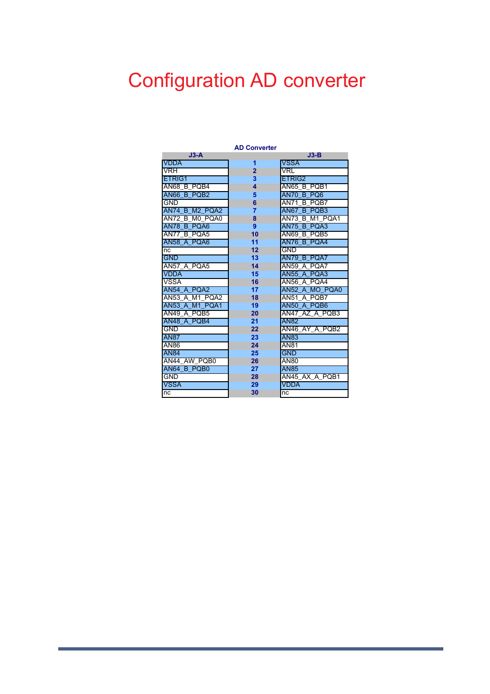# Configuration AD converter

| <b>AD Converter</b>      |                |                                  |  |  |  |
|--------------------------|----------------|----------------------------------|--|--|--|
| $J3-A$                   |                | $J3-B$                           |  |  |  |
| <b>VDDA</b>              | 1              | <b>VSSA</b>                      |  |  |  |
| VRH                      | $\overline{2}$ | VRL                              |  |  |  |
| ETRIG1                   | 3              | ETRIG2                           |  |  |  |
| AN68 B PQB4              | 4              | AN65 B PQB1                      |  |  |  |
| AN66 B PQB2              | 5              | <b>AN70</b><br>B PO <sub>6</sub> |  |  |  |
| <b>GND</b>               | 6              | <b>B POB7</b><br><b>AN71</b>     |  |  |  |
| AN74 B M2 PQA2           | $\overline{7}$ | B PQB3<br>AN67                   |  |  |  |
| AN72<br>MO POA0<br>в     | 8              | AN73<br>M1 POA1<br>B             |  |  |  |
| <b>AN78</b><br>B<br>PQA6 | 9              | <b>AN75</b><br>PQA3<br>B         |  |  |  |
| B POA5<br>AN77           | 10             | B POB5<br>AN69                   |  |  |  |
| AN58 A POA6              | 11             | <b>AN76</b><br><b>B POA4</b>     |  |  |  |
| nc                       | 12             | GND                              |  |  |  |
| <b>GND</b>               | 13             | AN79 B POA7                      |  |  |  |
| AN57 A PQA5              | 14             | <b>AN59</b><br>A POA7            |  |  |  |
| <b>VDDA</b>              | 15             | <b>AN55</b><br>A POA3            |  |  |  |
| <b>VSSA</b>              | 16             | <b>AN56</b><br>A POA4            |  |  |  |
| AN54 A POA2              | 17             | AN52 A MO POA0                   |  |  |  |
| AN53 A<br>M1 PQA2        | 18             | AN51<br>A POB7                   |  |  |  |
| AN53 A M1 PQA1           | 19             | AN50 A PQB6                      |  |  |  |
| AN49 A PQB5              | 20             | AN47 AZ A POB3                   |  |  |  |
| AN48 A POB4              | 21             | <b>AN82</b>                      |  |  |  |
| <b>GND</b>               | 22             | AN46 AY A POB2                   |  |  |  |
| <b>AN87</b>              | 23             | AN83                             |  |  |  |
| AN86                     | 24             | <b>AN81</b>                      |  |  |  |
| <b>AN84</b>              | 25             | <b>GND</b>                       |  |  |  |
| AN44 AW PQB0             | 26             | <b>AN80</b>                      |  |  |  |
| AN64 B POB0              | 27             | <b>AN85</b>                      |  |  |  |
| GND                      | 28             | AN45 AX A POB1                   |  |  |  |
| <b>VSSA</b>              | 29             | <b>VDDA</b>                      |  |  |  |
| nc                       | 30             | nc                               |  |  |  |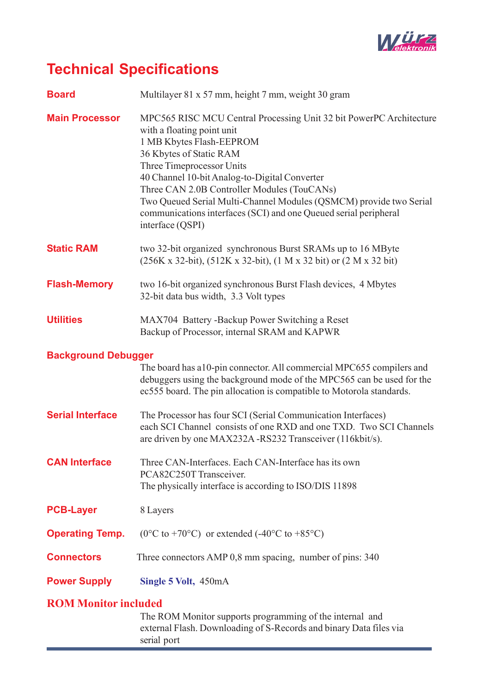

### **Technical Specifications**

| <b>Board</b>                | Multilayer 81 x 57 mm, height 7 mm, weight 30 gram                                                                                                                                                                                                                                                                                                                                                                                                  |
|-----------------------------|-----------------------------------------------------------------------------------------------------------------------------------------------------------------------------------------------------------------------------------------------------------------------------------------------------------------------------------------------------------------------------------------------------------------------------------------------------|
| <b>Main Processor</b>       | MPC565 RISC MCU Central Processing Unit 32 bit PowerPC Architecture<br>with a floating point unit<br>1 MB Kbytes Flash-EEPROM<br>36 Kbytes of Static RAM<br>Three Timeprocessor Units<br>40 Channel 10-bit Analog-to-Digital Converter<br>Three CAN 2.0B Controller Modules (TouCANs)<br>Two Queued Serial Multi-Channel Modules (QSMCM) provide two Serial<br>communications interfaces (SCI) and one Queued serial peripheral<br>interface (QSPI) |
| <b>Static RAM</b>           | two 32-bit organized synchronous Burst SRAMs up to 16 MByte<br>(256K x 32-bit), (512K x 32-bit), (1 M x 32 bit) or (2 M x 32 bit)                                                                                                                                                                                                                                                                                                                   |
| <b>Flash-Memory</b>         | two 16-bit organized synchronous Burst Flash devices, 4 Mbytes<br>32-bit data bus width, 3.3 Volt types                                                                                                                                                                                                                                                                                                                                             |
| <b>Utilities</b>            | MAX704 Battery -Backup Power Switching a Reset<br>Backup of Processor, internal SRAM and KAPWR                                                                                                                                                                                                                                                                                                                                                      |
| <b>Background Debugger</b>  | The board has a 10-pin connector. All commercial MPC655 compilers and<br>debuggers using the background mode of the MPC565 can be used for the<br>ec555 board. The pin allocation is compatible to Motorola standards.                                                                                                                                                                                                                              |
| <b>Serial Interface</b>     | The Processor has four SCI (Serial Communication Interfaces)<br>each SCI Channel consists of one RXD and one TXD. Two SCI Channels<br>are driven by one MAX232A -RS232 Transceiver (116kbit/s).                                                                                                                                                                                                                                                     |
| <b>CAN Interface</b>        | Three CAN-Interfaces. Each CAN-Interface has its own<br>PCA82C250T Transceiver.<br>The physically interface is according to ISO/DIS 11898                                                                                                                                                                                                                                                                                                           |
| <b>PCB-Layer</b>            | 8 Layers                                                                                                                                                                                                                                                                                                                                                                                                                                            |
| <b>Operating Temp.</b>      | $(0^{\circ}$ C to +70°C) or extended (-40°C to +85°C)                                                                                                                                                                                                                                                                                                                                                                                               |
| <b>Connectors</b>           | Three connectors AMP 0,8 mm spacing, number of pins: 340                                                                                                                                                                                                                                                                                                                                                                                            |
| <b>Power Supply</b>         | Single 5 Volt, 450mA                                                                                                                                                                                                                                                                                                                                                                                                                                |
| <b>ROM Monitor included</b> | The ROM Monitor supports programming of the internal and<br>external Flash. Downloading of S-Records and binary Data files via                                                                                                                                                                                                                                                                                                                      |

serial port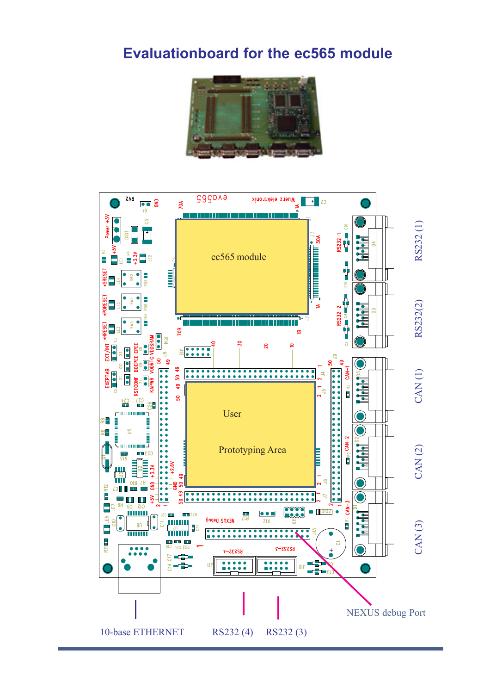#### **Evaluationboard for the ec565 module**